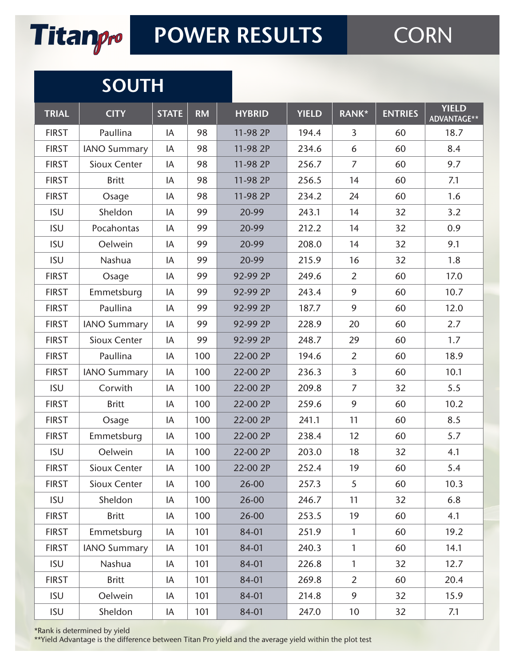

## **SOUTH**

| <b>TRIAL</b> | <b>CITY</b>         | <b>STATE</b> | <b>RM</b> | <b>HYBRID</b> | <b>YIELD</b> | RANK*           | <b>ENTRIES</b> | <b>YIELD</b><br>ADVANTAGE** |
|--------------|---------------------|--------------|-----------|---------------|--------------|-----------------|----------------|-----------------------------|
| <b>FIRST</b> | Paullina            | IA           | 98        | 11-98 2P      | 194.4        | $\overline{3}$  | 60             | 18.7                        |
| <b>FIRST</b> | <b>IANO Summary</b> | IA           | 98        | 11-98 2P      | 234.6        | 6               | 60             | 8.4                         |
| <b>FIRST</b> | Sioux Center        | IA           | 98        | 11-98 2P      | 256.7        | $\overline{7}$  | 60             | 9.7                         |
| <b>FIRST</b> | <b>Britt</b>        | IA           | 98        | 11-98 2P      | 256.5        | 14              | 60             | 7.1                         |
| <b>FIRST</b> | Osage               | IA           | 98        | 11-98 2P      | 234.2        | 24              | 60             | 1.6                         |
| <b>ISU</b>   | Sheldon             | IA           | 99        | 20-99         | 243.1        | 14              | 32             | 3.2                         |
| <b>ISU</b>   | Pocahontas          | IA           | 99        | 20-99         | 212.2        | 14              | 32             | 0.9                         |
| <b>ISU</b>   | Oelwein             | IA           | 99        | 20-99         | 208.0        | 14              | 32             | 9.1                         |
| <b>ISU</b>   | Nashua              | IA           | 99        | 20-99         | 215.9        | 16              | 32             | 1.8                         |
| <b>FIRST</b> | Osage               | IA           | 99        | 92-99 2P      | 249.6        | $\overline{2}$  | 60             | 17.0                        |
| <b>FIRST</b> | Emmetsburg          | IA           | 99        | 92-99 2P      | 243.4        | 9               | 60             | 10.7                        |
| <b>FIRST</b> | Paullina            | IA           | 99        | 92-99 2P      | 187.7        | 9               | 60             | 12.0                        |
| <b>FIRST</b> | <b>IANO Summary</b> | IA           | 99        | 92-99 2P      | 228.9        | 20              | 60             | 2.7                         |
| <b>FIRST</b> | Sioux Center        | IA           | 99        | 92-99 2P      | 248.7        | 29              | 60             | 1.7                         |
| <b>FIRST</b> | Paullina            | IA           | 100       | 22-00 2P      | 194.6        | $\overline{2}$  | 60             | 18.9                        |
| <b>FIRST</b> | <b>IANO Summary</b> | IA           | 100       | 22-00 2P      | 236.3        | $\overline{3}$  | 60             | 10.1                        |
| <b>ISU</b>   | Corwith             | IA           | 100       | 22-00 2P      | 209.8        | $\overline{7}$  | 32             | 5.5                         |
| <b>FIRST</b> | <b>Britt</b>        | IA           | 100       | 22-00 2P      | 259.6        | 9               | 60             | 10.2                        |
| <b>FIRST</b> | Osage               | IA           | 100       | 22-00 2P      | 241.1        | 11              | 60             | 8.5                         |
| <b>FIRST</b> | Emmetsburg          | IA           | 100       | 22-00 2P      | 238.4        | 12              | 60             | 5.7                         |
| <b>ISU</b>   | Oelwein             | IA           | 100       | 22-00 2P      | 203.0        | 18              | 32             | 4.1                         |
| <b>FIRST</b> | Sioux Center        | IA           | 100       | 22-00 2P      | 252.4        | 19              | 60             | 5.4                         |
| <b>FIRST</b> | Sioux Center        | IA           | 100       | 26-00         | 257.3        | 5               | 60             | 10.3                        |
| <b>ISU</b>   | Sheldon             | IA           | 100       | 26-00         | 246.7        | 11              | 32             | 6.8                         |
| <b>FIRST</b> | <b>Britt</b>        | IA           | 100       | 26-00         | 253.5        | 19              | 60             | 4.1                         |
| <b>FIRST</b> | Emmetsburg          | IA           | 101       | 84-01         | 251.9        | $\mathbf{1}$    | 60             | 19.2                        |
| <b>FIRST</b> | <b>IANO Summary</b> | IA           | 101       | 84-01         | 240.3        | 1               | 60             | 14.1                        |
| <b>ISU</b>   | Nashua              | IA           | 101       | 84-01         | 226.8        | $\mathbf{1}$    | 32             | 12.7                        |
| <b>FIRST</b> | <b>Britt</b>        | IA           | 101       | 84-01         | 269.8        | $\overline{2}$  | 60             | 20.4                        |
| <b>ISU</b>   | Oelwein             | IA           | 101       | 84-01         | 214.8        | 9               | 32             | 15.9                        |
| <b>ISU</b>   | Sheldon             | IA           | 101       | 84-01         | 247.0        | 10 <sup>°</sup> | 32             | 7.1                         |

\*Rank is determined by yield

\*\*Yield Advantage is the difference between Titan Pro yield and the average yield within the plot test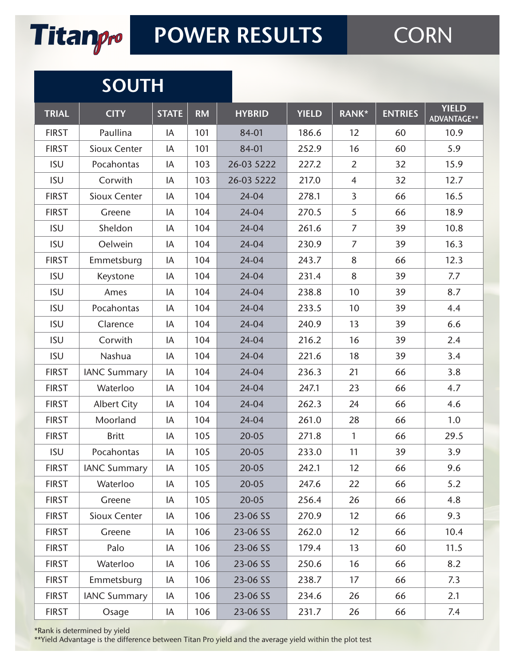

## **SOUTH**

| <b>TRIAL</b> | <b>CITY</b>         | <b>STATE</b> | <b>RM</b> | <b>HYBRID</b> | <b>YIELD</b> | RANK*          | <b>ENTRIES</b> | <b>YIELD</b><br>ADVANTAGE** |
|--------------|---------------------|--------------|-----------|---------------|--------------|----------------|----------------|-----------------------------|
| <b>FIRST</b> | Paullina            | IA           | 101       | 84-01         | 186.6        | 12             | 60             | 10.9                        |
| <b>FIRST</b> | Sioux Center        | IA           | 101       | 84-01         | 252.9        | 16             | 60             | 5.9                         |
| <b>ISU</b>   | Pocahontas          | IA           | 103       | 26-03 5222    | 227.2        | $\overline{2}$ | 32             | 15.9                        |
| <b>ISU</b>   | Corwith             | IA           | 103       | 26-03 5222    | 217.0        | $\overline{4}$ | 32             | 12.7                        |
| <b>FIRST</b> | Sioux Center        | IA           | 104       | 24-04         | 278.1        | $\overline{3}$ | 66             | 16.5                        |
| <b>FIRST</b> | Greene              | IA           | 104       | 24-04         | 270.5        | 5              | 66             | 18.9                        |
| <b>ISU</b>   | Sheldon             | IA           | 104       | 24-04         | 261.6        | $\overline{7}$ | 39             | 10.8                        |
| <b>ISU</b>   | Oelwein             | IA           | 104       | 24-04         | 230.9        | $\overline{7}$ | 39             | 16.3                        |
| <b>FIRST</b> | Emmetsburg          | IA           | 104       | 24-04         | 243.7        | 8              | 66             | 12.3                        |
| <b>ISU</b>   | Keystone            | IA           | 104       | 24-04         | 231.4        | 8              | 39             | 7.7                         |
| <b>ISU</b>   | Ames                | IA           | 104       | 24-04         | 238.8        | 10             | 39             | 8.7                         |
| <b>ISU</b>   | Pocahontas          | IA           | 104       | 24-04         | 233.5        | 10             | 39             | 4.4                         |
| <b>ISU</b>   | Clarence            | IA           | 104       | 24-04         | 240.9        | 13             | 39             | 6.6                         |
| <b>ISU</b>   | Corwith             | IA           | 104       | 24-04         | 216.2        | 16             | 39             | 2.4                         |
| <b>ISU</b>   | Nashua              | IA           | 104       | 24-04         | 221.6        | 18             | 39             | 3.4                         |
| <b>FIRST</b> | <b>IANC Summary</b> | IA           | 104       | 24-04         | 236.3        | 21             | 66             | 3.8                         |
| <b>FIRST</b> | Waterloo            | IA           | 104       | 24-04         | 247.1        | 23             | 66             | 4.7                         |
| <b>FIRST</b> | <b>Albert City</b>  | IA           | 104       | 24-04         | 262.3        | 24             | 66             | 4.6                         |
| <b>FIRST</b> | Moorland            | IA           | 104       | 24-04         | 261.0        | 28             | 66             | 1.0                         |
| <b>FIRST</b> | <b>Britt</b>        | IA           | 105       | $20 - 05$     | 271.8        | $\mathbf{1}$   | 66             | 29.5                        |
| <b>ISU</b>   | Pocahontas          | IA           | 105       | $20 - 05$     | 233.0        | 11             | 39             | 3.9                         |
| <b>FIRST</b> | <b>IANC Summary</b> | IA           | 105       | 20-05         | 242.1        | 12             | 66             | 9.6                         |
| <b>FIRST</b> | Waterloo            | IA           | 105       | 20-05         | 247.6        | 22             | 66             | 5.2                         |
| <b>FIRST</b> | Greene              | IA           | 105       | $20 - 05$     | 256.4        | 26             | 66             | 4.8                         |
| <b>FIRST</b> | Sioux Center        | IA           | 106       | 23-06 SS      | 270.9        | 12             | 66             | 9.3                         |
| <b>FIRST</b> | Greene              | IA           | 106       | 23-06 SS      | 262.0        | 12             | 66             | 10.4                        |
| <b>FIRST</b> | Palo                | IA           | 106       | 23-06 SS      | 179.4        | 13             | 60             | 11.5                        |
| <b>FIRST</b> | Waterloo            | IA           | 106       | 23-06 SS      | 250.6        | 16             | 66             | 8.2                         |
| <b>FIRST</b> | Emmetsburg          | IA           | 106       | 23-06 SS      | 238.7        | 17             | 66             | 7.3                         |
| <b>FIRST</b> | <b>IANC Summary</b> | IA           | 106       | 23-06 SS      | 234.6        | 26             | 66             | 2.1                         |
| <b>FIRST</b> | Osage               | IA           | 106       | 23-06 SS      | 231.7        | 26             | 66             | 7.4                         |

#### \*Rank is determined by yield

\*\*Yield Advantage is the difference between Titan Pro yield and the average yield within the plot test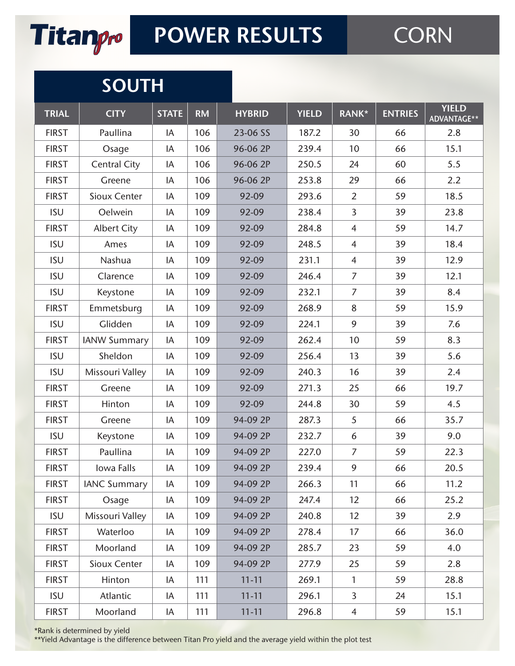

## **SOUTH**

| <b>TRIAL</b> | <b>CITY</b>         | <b>STATE</b> | <b>RM</b> | <b>HYBRID</b> | <b>YIELD</b> | RANK*          | <b>ENTRIES</b> | <b>YIELD</b><br>ADVANTAGE** |
|--------------|---------------------|--------------|-----------|---------------|--------------|----------------|----------------|-----------------------------|
| <b>FIRST</b> | Paullina            | IA           | 106       | 23-06 SS      | 187.2        | 30             | 66             | 2.8                         |
| <b>FIRST</b> | Osage               | IA           | 106       | 96-06 2P      | 239.4        | 10             | 66             | 15.1                        |
| <b>FIRST</b> | <b>Central City</b> | IA           | 106       | 96-06 2P      | 250.5        | 24             | 60             | 5.5                         |
| <b>FIRST</b> | Greene              | IA           | 106       | 96-06 2P      | 253.8        | 29             | 66             | 2.2                         |
| <b>FIRST</b> | Sioux Center        | IA           | 109       | 92-09         | 293.6        | $\overline{2}$ | 59             | 18.5                        |
| <b>ISU</b>   | Oelwein             | IA           | 109       | 92-09         | 238.4        | 3              | 39             | 23.8                        |
| <b>FIRST</b> | <b>Albert City</b>  | IA           | 109       | 92-09         | 284.8        | $\overline{4}$ | 59             | 14.7                        |
| <b>ISU</b>   | Ames                | IA           | 109       | 92-09         | 248.5        | $\overline{4}$ | 39             | 18.4                        |
| <b>ISU</b>   | Nashua              | IA           | 109       | 92-09         | 231.1        | $\overline{4}$ | 39             | 12.9                        |
| <b>ISU</b>   | Clarence            | IA           | 109       | 92-09         | 246.4        | $\overline{7}$ | 39             | 12.1                        |
| <b>ISU</b>   | Keystone            | IA           | 109       | 92-09         | 232.1        | $\overline{7}$ | 39             | 8.4                         |
| <b>FIRST</b> | Emmetsburg          | IA           | 109       | 92-09         | 268.9        | 8              | 59             | 15.9                        |
| <b>ISU</b>   | Glidden             | IA           | 109       | 92-09         | 224.1        | 9              | 39             | 7.6                         |
| <b>FIRST</b> | <b>IANW Summary</b> | IA           | 109       | 92-09         | 262.4        | 10             | 59             | 8.3                         |
| <b>ISU</b>   | Sheldon             | IA           | 109       | 92-09         | 256.4        | 13             | 39             | 5.6                         |
| <b>ISU</b>   | Missouri Valley     | IA           | 109       | 92-09         | 240.3        | 16             | 39             | 2.4                         |
| <b>FIRST</b> | Greene              | IA           | 109       | 92-09         | 271.3        | 25             | 66             | 19.7                        |
| <b>FIRST</b> | Hinton              | IA           | 109       | 92-09         | 244.8        | 30             | 59             | 4.5                         |
| <b>FIRST</b> | Greene              | IA           | 109       | 94-09 2P      | 287.3        | 5              | 66             | 35.7                        |
| <b>ISU</b>   | Keystone            | IA           | 109       | 94-09 2P      | 232.7        | 6              | 39             | 9.0                         |
| <b>FIRST</b> | Paullina            | IA           | 109       | 94-09 2P      | 227.0        | $\overline{7}$ | 59             | 22.3                        |
| <b>FIRST</b> | Iowa Falls          | IA           | 109       | 94-09 2P      | 239.4        | 9              | 66             | 20.5                        |
| <b>FIRST</b> | <b>IANC Summary</b> | IA           | 109       | 94-09 2P      | 266.3        | 11             | 66             | 11.2                        |
| <b>FIRST</b> | Osage               | IA           | 109       | 94-09 2P      | 247.4        | 12             | 66             | 25.2                        |
| <b>ISU</b>   | Missouri Valley     | IA           | 109       | 94-09 2P      | 240.8        | 12             | 39             | 2.9                         |
| <b>FIRST</b> | Waterloo            | IA           | 109       | 94-09 2P      | 278.4        | 17             | 66             | 36.0                        |
| <b>FIRST</b> | Moorland            | IA           | 109       | 94-09 2P      | 285.7        | 23             | 59             | 4.0                         |
| <b>FIRST</b> | Sioux Center        | IA           | 109       | 94-09 2P      | 277.9        | 25             | 59             | 2.8                         |
| <b>FIRST</b> | Hinton              | IA           | 111       | $11 - 11$     | 269.1        | $\mathbf{1}$   | 59             | 28.8                        |
| <b>ISU</b>   | Atlantic            | IA           | 111       | $11 - 11$     | 296.1        | $\overline{3}$ | 24             | 15.1                        |
| <b>FIRST</b> | Moorland            | IA           | 111       | $11 - 11$     | 296.8        | $\overline{4}$ | 59             | 15.1                        |

\*Rank is determined by yield

\*\*Yield Advantage is the difference between Titan Pro yield and the average yield within the plot test